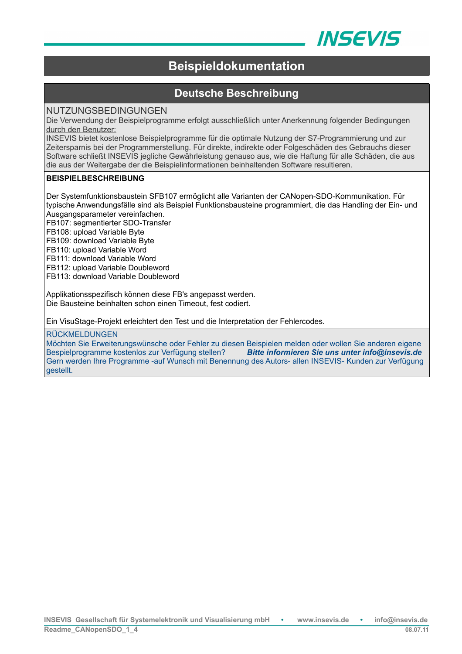

# **Beispieldokumentation**

# **Deutsche Beschreibung**

# NUTZUNGSBEDINGUNGEN

Die Verwendung der Beispielprogramme erfolgt ausschließlich unter Anerkennung folgender Bedingungen durch den Benutzer:

INSEVIS bietet kostenlose Beispielprogramme für die optimale Nutzung der S7-Programmierung und zur Zeitersparnis bei der Programmerstellung. Für direkte, indirekte oder Folgeschäden des Gebrauchs dieser Software schließt INSEVIS jegliche Gewährleistung genauso aus, wie die Haftung für alle Schäden, die aus die aus der Weitergabe der die Beispielinformationen beinhaltenden Software resultieren.

### **BEISPIELBESCHREIBUNG**

Der Systemfunktionsbaustein SFB107 ermöglicht alle Varianten der CANopen-SDO-Kommunikation. Für typische Anwendungsfälle sind als Beispiel Funktionsbausteine programmiert, die das Handling der Ein- und Ausgangsparameter vereinfachen.

FB107: segmentierter SDO-Transfer

FB108: upload Variable Byte

FB109: download Variable Byte

FB110: upload Variable Word

FB111: download Variable Word

FB112: upload Variable Doubleword

FB113: download Variable Doubleword

Applikationsspezifisch können diese FB's angepasst werden. Die Bausteine beinhalten schon einen Timeout, fest codiert.

Ein VisuStage-Projekt erleichtert den Test und die Interpretation der Fehlercodes.

#### RÜCKMELDUNGEN

Möchten Sie Erweiterungswünsche oder Fehler zu diesen Beispielen melden oder wollen Sie anderen eigene Bespielprogramme kostenlos zur Verfügung stellen? *Bitte informieren Sie uns unter info@insevis.de* Gern werden Ihre Programme -auf Wunsch mit Benennung des Autors- allen INSEVIS- Kunden zur Verfügung gestellt.